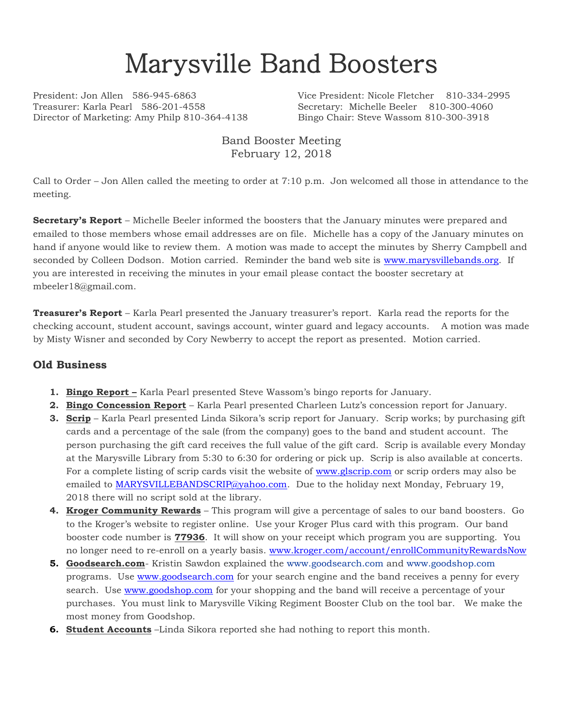## Marysville Band Boosters

Treasurer: Karla Pearl 586-201-4558 Secretary: Michelle Beeler 810-300-4060 Director of Marketing: Amy Philp 810-364-4138 Bingo Chair: Steve Wassom 810-300-3918

President: Jon Allen 586-945-6863 Vice President: Nicole Fletcher 810-334-2995

Band Booster Meeting February 12, 2018

Call to Order – Jon Allen called the meeting to order at 7:10 p.m. Jon welcomed all those in attendance to the meeting.

**Secretary's Report** – Michelle Beeler informed the boosters that the January minutes were prepared and emailed to those members whose email addresses are on file. Michelle has a copy of the January minutes on hand if anyone would like to review them. A motion was made to accept the minutes by Sherry Campbell and seconded by Colleen Dodson. Motion carried. Reminder the band web site is [www.marysvillebands.org.](http://www.marysvillebands.org/) If you are interested in receiving the minutes in your email please contact the booster secretary at mbeeler18@gmail.com.

**Treasurer's Report** – Karla Pearl presented the January treasurer's report. Karla read the reports for the checking account, student account, savings account, winter guard and legacy accounts. A motion was made by Misty Wisner and seconded by Cory Newberry to accept the report as presented. Motion carried.

## **Old Business**

- **1. Bingo Report –** Karla Pearl presented Steve Wassom's bingo reports for January.
- **2. Bingo Concession Report** Karla Pearl presented Charleen Lutz's concession report for January.
- **3. Scrip** Karla Pearl presented Linda Sikora's scrip report for January. Scrip works; by purchasing gift cards and a percentage of the sale (from the company) goes to the band and student account. The person purchasing the gift card receives the full value of the gift card. Scrip is available every Monday at the Marysville Library from 5:30 to 6:30 for ordering or pick up. Scrip is also available at concerts. For a complete listing of scrip cards visit the website of [www.glscrip.com](http://www.glscrip.com/) or scrip orders may also be emailed to [MARYSVILLEBANDSCRIP@yahoo.com.](mailto:MARYSVILLEBANDSCRIP@yahoo.com) Due to the holiday next Monday, February 19, 2018 there will no script sold at the library.
- **4. Kroger Community Rewards** This program will give a percentage of sales to our band boosters. Go to the Kroger's website to register online. Use your Kroger Plus card with this program. Our band booster code number is **77936**. It will show on your receipt which program you are supporting. You no longer need to re-enroll on a yearly basis. [www.kroger.com/account/enrollCommunityRewardsNow](http://www.kroger.com/account/enrollCommunityRewardsNow)
- **5. Goodsearch.com** Kristin Sawdon explained the [www.goodsearch.com](http://www.goodsearch.com/) and [www.goodshop.com](http://www.goodshop.com/) programs. Use [www.goodsearch.com](http://www.goodsearch.com/) for your search engine and the band receives a penny for every search. Use [www.goodshop.com](http://www.goodshop.com/) for your shopping and the band will receive a percentage of your purchases. You must link to Marysville Viking Regiment Booster Club on the tool bar. We make the most money from Goodshop.
- **6. Student Accounts** –Linda Sikora reported she had nothing to report this month.